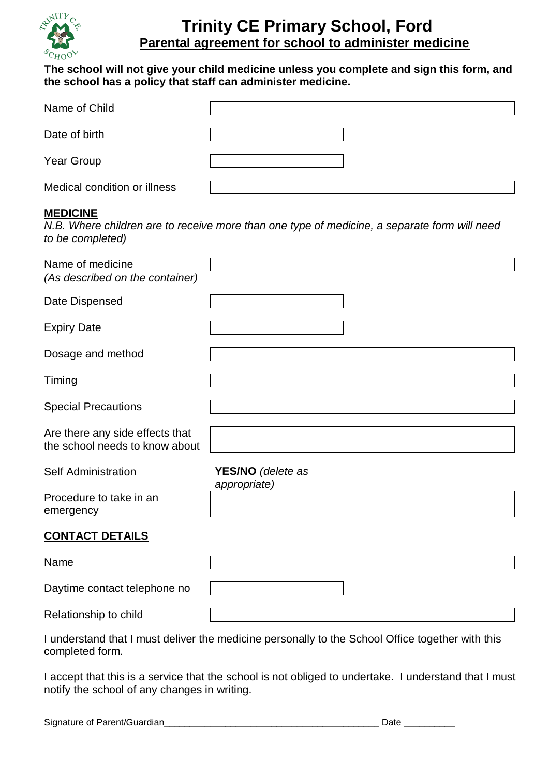

## **Trinity CE Primary School, Ford Parental agreement for school to administer medicine**

## **The school will not give your child medicine unless you complete and sign this form, and the school has a policy that staff can administer medicine.**

| Name of Child                |  |
|------------------------------|--|
| Date of birth                |  |
| Year Group                   |  |
| Medical condition or illness |  |

## **MEDICINE**

*N.B. Where children are to receive more than one type of medicine, a separate form will need to be completed)*

| Name of medicine<br>(As described on the container)               |                                   |
|-------------------------------------------------------------------|-----------------------------------|
| Date Dispensed                                                    |                                   |
| <b>Expiry Date</b>                                                |                                   |
| Dosage and method                                                 |                                   |
| Timing                                                            |                                   |
| <b>Special Precautions</b>                                        |                                   |
| Are there any side effects that<br>the school needs to know about |                                   |
| <b>Self Administration</b>                                        | YES/NO (delete as<br>appropriate) |
| Procedure to take in an<br>emergency                              |                                   |
| <b>CONTACT DETAILS</b>                                            |                                   |

| Name                         |  |
|------------------------------|--|
| Daytime contact telephone no |  |
| Relationship to child        |  |

I understand that I must deliver the medicine personally to the School Office together with this completed form.

I accept that this is a service that the school is not obliged to undertake. I understand that I must notify the school of any changes in writing.

Signature of Parent/Guardian